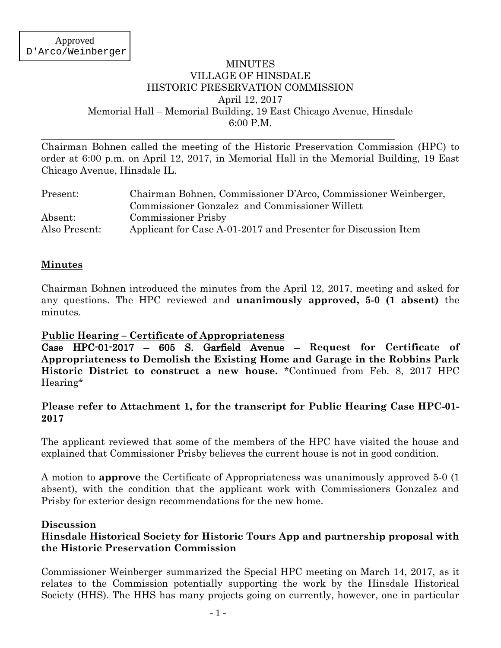### MINUTES VILLAGE OF HINSDALE HISTORIC PRESERVATION COMMISSION April 12, 2017 Memorial Hall – Memorial Building, 19 East Chicago Avenue, Hinsdale 6:00 P.M.

Chairman Bohnen called the meeting of the Historic Preservation Commission (HPC) to order at 6:00 p.m. on April 12, 2017, in Memorial Hall in the Memorial Building, 19 East Chicago Avenue, Hinsdale IL.

| Present:      | Chairman Bohnen, Commissioner D'Arco, Commissioner Weinberger, |  |  |
|---------------|----------------------------------------------------------------|--|--|
|               | Commissioner Gonzalez and Commissioner Willett                 |  |  |
| Absent:       | <b>Commissioner Prisby</b>                                     |  |  |
| Also Present: | Applicant for Case A-01-2017 and Presenter for Discussion Item |  |  |

# **Minutes**

Chairman Bohnen introduced the minutes from the April 12, 2017, meeting and asked for any questions. The HPC reviewed and **unanimously approved, 5-0 (1 absent)** the minutes.

### **Public Hearing – Certificate of Appropriateness**

Case HPC-01-2017 – 605 S. Garfield Avenue – **Request for Certificate of Appropriateness to Demolish the Existing Home and Garage in the Robbins Park Historic District to construct a new house.** \*Continued from Feb. 8, 2017 HPC Hearing\*

### **Please refer to Attachment 1, for the transcript for Public Hearing Case HPC-01- 2017**

The applicant reviewed that some of the members of the HPC have visited the house and explained that Commissioner Prisby believes the current house is not in good condition.

A motion to **approve** the Certificate of Appropriateness was unanimously approved 5-0 (1 absent), with the condition that the applicant work with Commissioners Gonzalez and Prisby for exterior design recommendations for the new home.

#### **Discussion**

# **Hinsdale Historical Society for Historic Tours App and partnership proposal with the Historic Preservation Commission**

Commissioner Weinberger summarized the Special HPC meeting on March 14, 2017, as it relates to the Commission potentially supporting the work by the Hinsdale Historical Society (HHS). The HHS has many projects going on currently, however, one in particular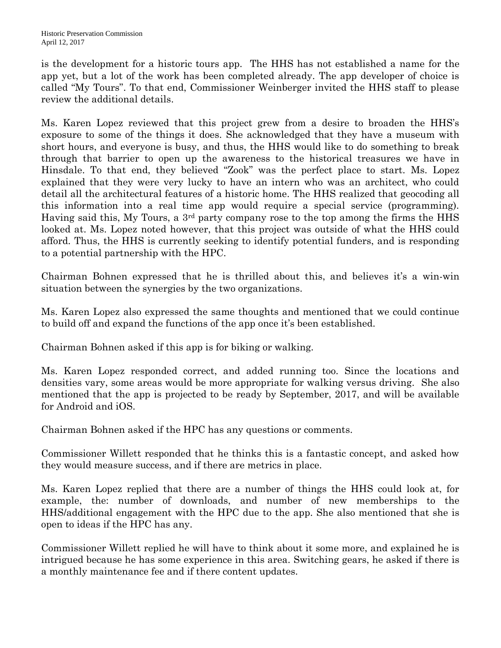is the development for a historic tours app. The HHS has not established a name for the app yet, but a lot of the work has been completed already. The app developer of choice is called "My Tours". To that end, Commissioner Weinberger invited the HHS staff to please review the additional details.

Ms. Karen Lopez reviewed that this project grew from a desire to broaden the HHS's exposure to some of the things it does. She acknowledged that they have a museum with short hours, and everyone is busy, and thus, the HHS would like to do something to break through that barrier to open up the awareness to the historical treasures we have in Hinsdale. To that end, they believed "Zook" was the perfect place to start. Ms. Lopez explained that they were very lucky to have an intern who was an architect, who could detail all the architectural features of a historic home. The HHS realized that geocoding all this information into a real time app would require a special service (programming). Having said this, My Tours, a 3rd party company rose to the top among the firms the HHS looked at. Ms. Lopez noted however, that this project was outside of what the HHS could afford. Thus, the HHS is currently seeking to identify potential funders, and is responding to a potential partnership with the HPC.

Chairman Bohnen expressed that he is thrilled about this, and believes it's a win-win situation between the synergies by the two organizations.

Ms. Karen Lopez also expressed the same thoughts and mentioned that we could continue to build off and expand the functions of the app once it's been established.

Chairman Bohnen asked if this app is for biking or walking.

Ms. Karen Lopez responded correct, and added running too. Since the locations and densities vary, some areas would be more appropriate for walking versus driving. She also mentioned that the app is projected to be ready by September, 2017, and will be available for Android and iOS.

Chairman Bohnen asked if the HPC has any questions or comments.

Commissioner Willett responded that he thinks this is a fantastic concept, and asked how they would measure success, and if there are metrics in place.

Ms. Karen Lopez replied that there are a number of things the HHS could look at, for example, the: number of downloads, and number of new memberships to the HHS/additional engagement with the HPC due to the app. She also mentioned that she is open to ideas if the HPC has any.

Commissioner Willett replied he will have to think about it some more, and explained he is intrigued because he has some experience in this area. Switching gears, he asked if there is a monthly maintenance fee and if there content updates.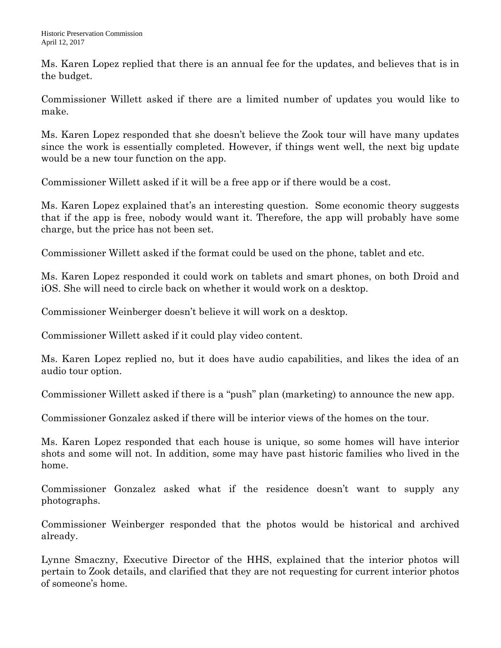Ms. Karen Lopez replied that there is an annual fee for the updates, and believes that is in the budget.

Commissioner Willett asked if there are a limited number of updates you would like to make.

Ms. Karen Lopez responded that she doesn't believe the Zook tour will have many updates since the work is essentially completed. However, if things went well, the next big update would be a new tour function on the app.

Commissioner Willett asked if it will be a free app or if there would be a cost.

Ms. Karen Lopez explained that's an interesting question. Some economic theory suggests that if the app is free, nobody would want it. Therefore, the app will probably have some charge, but the price has not been set.

Commissioner Willett asked if the format could be used on the phone, tablet and etc.

Ms. Karen Lopez responded it could work on tablets and smart phones, on both Droid and iOS. She will need to circle back on whether it would work on a desktop.

Commissioner Weinberger doesn't believe it will work on a desktop.

Commissioner Willett asked if it could play video content.

Ms. Karen Lopez replied no, but it does have audio capabilities, and likes the idea of an audio tour option.

Commissioner Willett asked if there is a "push" plan (marketing) to announce the new app.

Commissioner Gonzalez asked if there will be interior views of the homes on the tour.

Ms. Karen Lopez responded that each house is unique, so some homes will have interior shots and some will not. In addition, some may have past historic families who lived in the home.

Commissioner Gonzalez asked what if the residence doesn't want to supply any photographs.

Commissioner Weinberger responded that the photos would be historical and archived already.

Lynne Smaczny, Executive Director of the HHS, explained that the interior photos will pertain to Zook details, and clarified that they are not requesting for current interior photos of someone's home.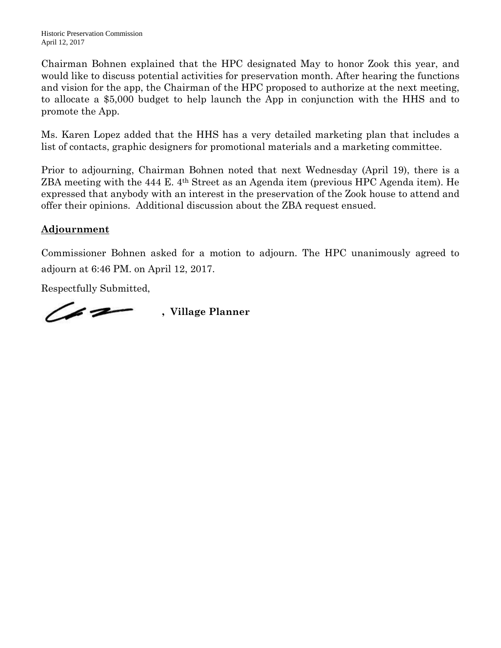Chairman Bohnen explained that the HPC designated May to honor Zook this year, and would like to discuss potential activities for preservation month. After hearing the functions and vision for the app, the Chairman of the HPC proposed to authorize at the next meeting, to allocate a \$5,000 budget to help launch the App in conjunction with the HHS and to promote the App.

Ms. Karen Lopez added that the HHS has a very detailed marketing plan that includes a list of contacts, graphic designers for promotional materials and a marketing committee.

Prior to adjourning, Chairman Bohnen noted that next Wednesday (April 19), there is a ZBA meeting with the 444 E. 4th Street as an Agenda item (previous HPC Agenda item). He expressed that anybody with an interest in the preservation of the Zook house to attend and offer their opinions. Additional discussion about the ZBA request ensued.

# **Adjournment**

Commissioner Bohnen asked for a motion to adjourn. The HPC unanimously agreed to adjourn at 6:46 PM. on April 12, 2017.

Respectfully Submitted,

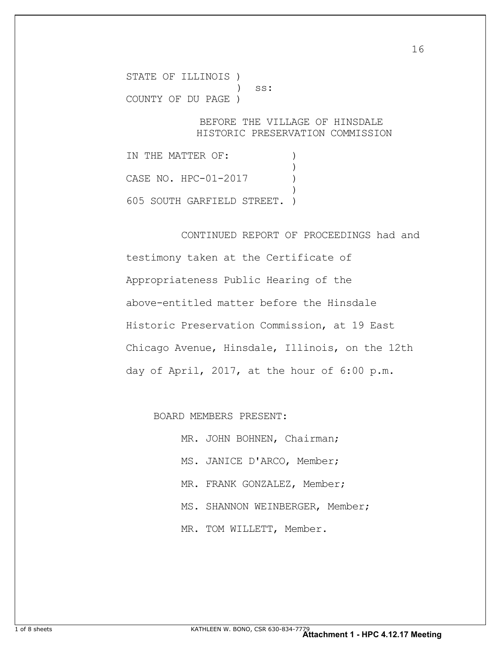STATE OF ILLINOIS ) ) ss: COUNTY OF DU PAGE )

#### BEFORE THE VILLAGE OF HINSDALE HISTORIC PRESERVATION COMMISSION

IN THE MATTER OF: )  $\overline{\phantom{a}}$ CASE NO. HPC-01-2017 ) ) and the contract of  $\mathcal{L}$ 605 SOUTH GARFIELD STREET. )

 CONTINUED REPORT OF PROCEEDINGS had and testimony taken at the Certificate of Appropriateness Public Hearing of the above-entitled matter before the Hinsdale Historic Preservation Commission, at 19 East Chicago Avenue, Hinsdale, Illinois, on the 12th day of April, 2017, at the hour of 6:00 p.m.

BOARD MEMBERS PRESENT:

MR. JOHN BOHNEN, Chairman; MS. JANICE D'ARCO, Member; MR. FRANK GONZALEZ, Member; MS. SHANNON WEINBERGER, Member; MR. TOM WILLETT, Member.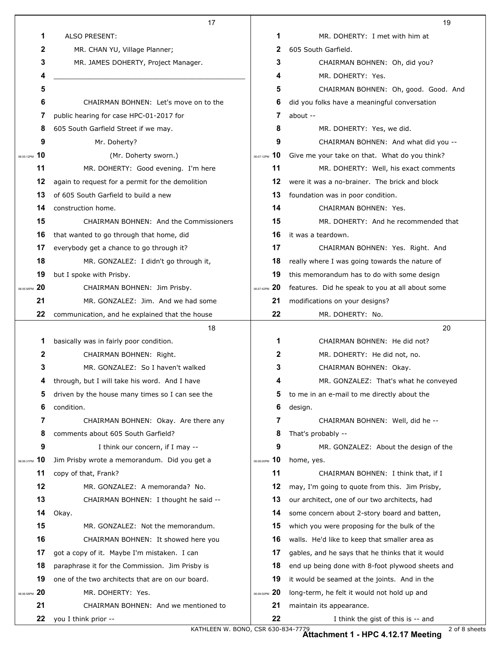|            | 17                                                     |                  | 19                                               |
|------------|--------------------------------------------------------|------------------|--------------------------------------------------|
|            | 1<br>ALSO PRESENT:                                     | 1                | MR. DOHERTY: I met with him at                   |
|            | $\mathbf{2}$<br>MR. CHAN YU, Village Planner;          | 2                | 605 South Garfield.                              |
|            | 3<br>MR. JAMES DOHERTY, Project Manager.               | 3                | CHAIRMAN BOHNEN: Oh, did you?                    |
|            | 4                                                      | 4                | MR. DOHERTY: Yes.                                |
|            | 5                                                      | 5                | CHAIRMAN BOHNEN: Oh, good. Good. And             |
|            | 6<br>CHAIRMAN BOHNEN: Let's move on to the             | 6                | did you folks have a meaningful conversation     |
|            | 7<br>public hearing for case HPC-01-2017 for           | 7                | about --                                         |
|            | 8<br>605 South Garfield Street if we may.              | 8                | MR. DOHERTY: Yes, we did.                        |
|            | 9<br>Mr. Doherty?                                      | 9                | CHAIRMAN BOHNEN: And what did you --             |
| 06:05:12PM | 10<br>(Mr. Doherty sworn.)                             | 10<br>06:07:12PM | Give me your take on that. What do you think?    |
|            | 11<br>MR. DOHERTY: Good evening. I'm here              | 11               | MR. DOHERTY: Well, his exact comments            |
|            | 12<br>again to request for a permit for the demolition | 12               | were it was a no-brainer. The brick and block    |
|            | 13<br>of 605 South Garfield to build a new             | 13               | foundation was in poor condition.                |
|            | 14<br>construction home.                               | 14               | CHAIRMAN BOHNEN: Yes.                            |
|            | 15<br><b>CHAIRMAN BOHNEN: And the Commissioners</b>    | 15               | MR. DOHERTY: And he recommended that             |
|            | 16<br>that wanted to go through that home, did         | 16               | it was a teardown.                               |
|            | 17<br>everybody get a chance to go through it?         | 17               | CHAIRMAN BOHNEN: Yes. Right. And                 |
|            | 18<br>MR. GONZALEZ: I didn't go through it,            | 18               | really where I was going towards the nature of   |
|            | 19<br>but I spoke with Prisby.                         | 19               | this memorandum has to do with some design       |
| 06:05:56PM | 20<br>CHAIRMAN BOHNEN: Jim Prisby.                     | 06:07:42PM 20    | features. Did he speak to you at all about some  |
|            | 21<br>MR. GONZALEZ: Jim. And we had some               | 21               | modifications on your designs?                   |
|            | 22<br>communication, and he explained that the house   | 22               | MR. DOHERTY: No.                                 |
|            |                                                        |                  |                                                  |
|            | 18                                                     |                  | 20                                               |
|            | 1<br>basically was in fairly poor condition.           | 1                | CHAIRMAN BOHNEN: He did not?                     |
|            | 2<br>CHAIRMAN BOHNEN: Right.                           | 2                | MR. DOHERTY: He did not, no.                     |
|            | 3<br>MR. GONZALEZ: So I haven't walked                 | 3                | CHAIRMAN BOHNEN: Okay.                           |
|            | through, but I will take his word. And I have          | 4                | MR. GONZALEZ: That's what he conveyed            |
|            | driven by the house many times so I can see the<br>5   | 5                | to me in an e-mail to me directly about the      |
|            | condition.<br>6                                        | 6                | design.                                          |
|            | 7<br>CHAIRMAN BOHNEN: Okay. Are there any              | 7                | CHAIRMAN BOHNEN: Well, did he --                 |
|            | 8<br>comments about 605 South Garfield?                | 8                | That's probably --                               |
|            | 9<br>I think our concern, if I may --                  | 9                | MR. GONZALEZ: About the design of the            |
| 06:06:31PM | 10<br>Jim Prisby wrote a memorandum. Did you get a     | 10<br>06:08:00PM | home, yes.                                       |
|            | 11<br>copy of that, Frank?                             | 11               | CHAIRMAN BOHNEN: I think that, if I              |
|            | 12<br>MR. GONZALEZ: A memoranda? No.                   | 12               | may, I'm going to quote from this. Jim Prisby,   |
|            | 13<br>CHAIRMAN BOHNEN: I thought he said --            | 13               | our architect, one of our two architects, had    |
|            | 14<br>Okay.                                            | 14               | some concern about 2-story board and batten,     |
|            | 15<br>MR. GONZALEZ: Not the memorandum.                | 15               | which you were proposing for the bulk of the     |
|            | 16<br>CHAIRMAN BOHNEN: It showed here you              | 16               | walls. He'd like to keep that smaller area as    |
|            | 17<br>got a copy of it. Maybe I'm mistaken. I can      | 17               | gables, and he says that he thinks that it would |
|            | 18<br>paraphrase it for the Commission. Jim Prisby is  | 18               | end up being done with 8-foot plywood sheets and |
|            | 19<br>one of the two architects that are on our board. | 19               | it would be seamed at the joints. And in the     |
| 06:06:58PM | 20<br>MR. DOHERTY: Yes.                                | 06:08:50PM 20    | long-term, he felt it would not hold up and      |
|            | 21<br>CHAIRMAN BOHNEN: And we mentioned to             | 21               | maintain its appearance.                         |

**Attachment 1 - HPC 4.12.17 Meeting**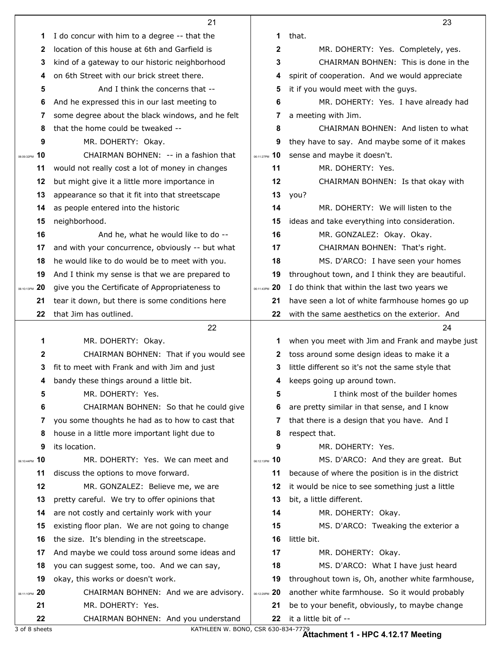|                   | 21                                               |                 | 23                                                                      |
|-------------------|--------------------------------------------------|-----------------|-------------------------------------------------------------------------|
| 1                 | I do concur with him to a degree -- that the     | 1               | that.                                                                   |
| 2                 | location of this house at 6th and Garfield is    | $\mathbf 2$     | MR. DOHERTY: Yes. Completely, yes.                                      |
| 3                 | kind of a gateway to our historic neighborhood   | 3               | CHAIRMAN BOHNEN: This is done in the                                    |
| 4                 | on 6th Street with our brick street there.       | 4               | spirit of cooperation. And we would appreciate                          |
| 5                 | And I think the concerns that --                 | 5               | it if you would meet with the guys.                                     |
| 6                 | And he expressed this in our last meeting to     | 6               | MR. DOHERTY: Yes. I have already had                                    |
| 7                 | some degree about the black windows, and he felt | 7               | a meeting with Jim.                                                     |
| 8                 | that the home could be tweaked --                | 8               | CHAIRMAN BOHNEN: And listen to what                                     |
| 9                 | MR. DOHERTY: Okay.                               | 9               | they have to say. And maybe some of it makes                            |
| 10<br>06:09:32PM  | CHAIRMAN BOHNEN: -- in a fashion that            | 06:11:27PM 10   | sense and maybe it doesn't.                                             |
| 11                | would not really cost a lot of money in changes  | 11              | MR. DOHERTY: Yes.                                                       |
| 12                | but might give it a little more importance in    | 12              | CHAIRMAN BOHNEN: Is that okay with                                      |
| 13                | appearance so that it fit into that streetscape  | 13              | you?                                                                    |
| 14                | as people entered into the historic              | 14              | MR. DOHERTY: We will listen to the                                      |
| 15                | neighborhood.                                    | 15              | ideas and take everything into consideration.                           |
| 16                | And he, what he would like to do --              | 16              | MR. GONZALEZ: Okay. Okay.                                               |
| 17                | and with your concurrence, obviously -- but what | 17              | CHAIRMAN BOHNEN: That's right.                                          |
| 18                | he would like to do would be to meet with you.   | 18              | MS. D'ARCO: I have seen your homes                                      |
| 19                | And I think my sense is that we are prepared to  | 19              | throughout town, and I think they are beautiful.                        |
| 06:10:13PM 20     | give you the Certificate of Appropriateness to   | 06:11:43PM 20   | I do think that within the last two years we                            |
| 21                | tear it down, but there is some conditions here  | 21              | have seen a lot of white farmhouse homes go up                          |
| 22                | that Jim has outlined.                           | 22              | with the same aesthetics on the exterior. And                           |
|                   |                                                  |                 |                                                                         |
|                   | 22                                               |                 | 24                                                                      |
| 1                 | MR. DOHERTY: Okay.                               | 1               | when you meet with Jim and Frank and maybe just                         |
| 2                 | CHAIRMAN BOHNEN: That if you would see           | 2               | toss around some design ideas to make it a                              |
| 3                 | fit to meet with Frank and with Jim and just     | 3               | little different so it's not the same style that                        |
| 4                 | bandy these things around a little bit.          | 4               | keeps going up around town.                                             |
| 5                 | MR. DOHERTY: Yes.                                | 5               | I think most of the builder homes                                       |
| 6                 | CHAIRMAN BOHNEN: So that he could give           | 6               | are pretty similar in that sense, and I know                            |
| 7                 | you some thoughts he had as to how to cast that  | 7               | that there is a design that you have. And I                             |
| 8                 | house in a little more important light due to    | 8               | respect that.                                                           |
| 9                 | its location.                                    | 9               | MR. DOHERTY: Yes.                                                       |
| 10<br>06:10:44PM  | MR. DOHERTY: Yes. We can meet and                | $06:12:13PM$ 10 | MS. D'ARCO: And they are great. But                                     |
| 11                | discuss the options to move forward.             | 11              | because of where the position is in the district                        |
| 12                | MR. GONZALEZ: Believe me, we are                 | 12              | it would be nice to see something just a little                         |
| 13                | pretty careful. We try to offer opinions that    | 13              | bit, a little different.                                                |
| 14                | are not costly and certainly work with your      | 14              | MR. DOHERTY: Okay.                                                      |
| 15                | existing floor plan. We are not going to change  | 15              | MS. D'ARCO: Tweaking the exterior a                                     |
| 16                | the size. It's blending in the streetscape.      | 16              | little bit.                                                             |
| 17                | And maybe we could toss around some ideas and    | 17              | MR. DOHERTY: Okay.                                                      |
| 18                | you can suggest some, too. And we can say,       | 18              | MS. D'ARCO: What I have just heard                                      |
| 19                | okay, this works or doesn't work.                | 19              | throughout town is, Oh, another white farmhouse,                        |
| -20<br>06:11:10PM | CHAIRMAN BOHNEN: And we are advisory.            | 06:12:29PM 20   | another white farmhouse. So it would probably                           |
| 21                | MR. DOHERTY: Yes.                                | 21              | be to your benefit, obviously, to maybe change<br>it a little bit of -- |

3 of 8 sheets KATHLEEN W. BONO, CSR 630-834-7779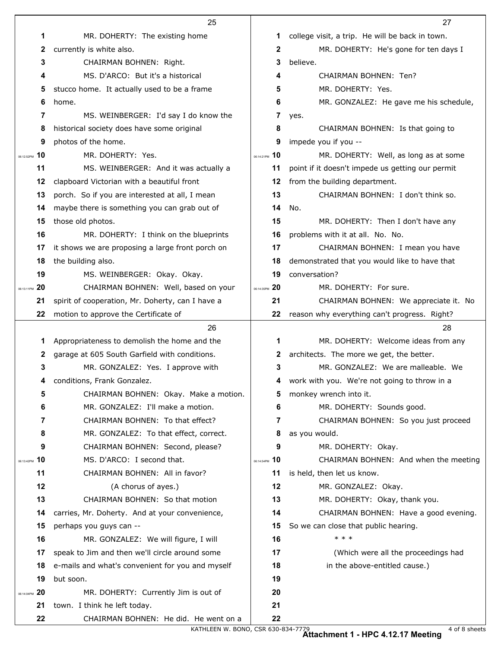|               | 25                                                                                |                   | 27                                               |
|---------------|-----------------------------------------------------------------------------------|-------------------|--------------------------------------------------|
|               | 1<br>MR. DOHERTY: The existing home                                               | 1                 | college visit, a trip. He will be back in town.  |
|               | currently is white also.<br>$\mathbf{2}$                                          | 2                 | MR. DOHERTY: He's gone for ten days I            |
|               | CHAIRMAN BOHNEN: Right.<br>3                                                      | 3                 | believe.                                         |
|               | MS, D'ARCO: But it's a historical<br>4                                            | 4                 | CHAIRMAN BOHNEN: Ten?                            |
|               | stucco home. It actually used to be a frame<br>5                                  | 5                 | MR. DOHERTY: Yes.                                |
|               | 6<br>home.                                                                        | 6                 | MR. GONZALEZ: He gave me his schedule,           |
|               | MS. WEINBERGER: I'd say I do know the<br>7                                        | 7                 | yes.                                             |
|               | 8<br>historical society does have some original                                   | 8                 | CHAIRMAN BOHNEN: Is that going to                |
|               | photos of the home.<br>9                                                          | 9                 | impede you if you --                             |
| 06:12:52PM    | MR. DOHERTY: Yes.<br>10                                                           | 06:14:21PM 10     | MR. DOHERTY: Well, as long as at some            |
|               | 11<br>MS. WEINBERGER: And it was actually a                                       | 11                | point if it doesn't impede us getting our permit |
|               | 12<br>clapboard Victorian with a beautiful front                                  | 12                | from the building department.                    |
|               | porch. So if you are interested at all, I mean<br>13                              | 13                | CHAIRMAN BOHNEN: I don't think so.               |
|               | maybe there is something you can grab out of<br>14                                | 14                | No.                                              |
|               | 15<br>those old photos.                                                           | 15                | MR. DOHERTY: Then I don't have any               |
|               | 16<br>MR. DOHERTY: I think on the blueprints                                      | 16                | problems with it at all. No. No.                 |
|               | it shows we are proposing a large front porch on<br>17                            | 17                | CHAIRMAN BOHNEN: I mean you have                 |
|               | the building also.<br>18                                                          | 18                | demonstrated that you would like to have that    |
|               | 19<br>MS. WEINBERGER: Okay. Okay.                                                 | 19                | conversation?                                    |
| 06:13:11PM    | CHAIRMAN BOHNEN: Well, based on your<br>20                                        | -20<br>06:14:35PM | MR. DOHERTY: For sure.                           |
|               | 21<br>spirit of cooperation, Mr. Doherty, can I have a                            | 21                | CHAIRMAN BOHNEN: We appreciate it. No            |
|               | 22<br>motion to approve the Certificate of                                        | 22                | reason why everything can't progress. Right?     |
|               |                                                                                   |                   |                                                  |
|               | 26                                                                                |                   | 28                                               |
|               | Appropriateness to demolish the home and the<br>1                                 | 1                 | MR. DOHERTY: Welcome ideas from any              |
|               | garage at 605 South Garfield with conditions.<br>2                                | 2                 | architects. The more we get, the better.         |
|               | 3<br>MR. GONZALEZ: Yes. I approve with                                            | 3                 | MR. GONZALEZ: We are malleable. We               |
|               | conditions, Frank Gonzalez.<br>4                                                  | 4                 | work with you. We're not going to throw in a     |
|               | 5<br>CHAIRMAN BOHNEN: Okay. Make a motion.                                        | 5                 | monkey wrench into it.                           |
|               | MR. GONZALEZ: I'll make a motion.<br>6                                            | 6                 | MR. DOHERTY: Sounds good.                        |
|               | CHAIRMAN BOHNEN: To that effect?<br>7                                             | 7                 | CHAIRMAN BOHNEN: So you just proceed             |
|               | 8<br>MR. GONZALEZ: To that effect, correct.                                       | 8                 | as you would.                                    |
|               | 9<br>CHAIRMAN BOHNEN: Second, please?                                             | 9                 | MR. DOHERTY: Okay.                               |
| 06:13:42PM 10 | MS. D'ARCO: I second that.                                                        | 06:14:54PM 10     | CHAIRMAN BOHNEN: And when the meeting            |
|               | 11<br>CHAIRMAN BOHNEN: All in favor?                                              | 11                | is held, then let us know.                       |
|               | 12<br>(A chorus of ayes.)                                                         | 12                | MR. GONZALEZ: Okay.                              |
|               | 13<br>CHAIRMAN BOHNEN: So that motion                                             | 13                | MR. DOHERTY: Okay, thank you.                    |
|               | carries, Mr. Doherty. And at your convenience,<br>14                              | 14                | CHAIRMAN BOHNEN: Have a good evening.            |
|               | 15<br>perhaps you guys can --                                                     | 15                | So we can close that public hearing.             |
|               | 16<br>MR. GONZALEZ: We will figure, I will                                        | 16                | $* * *$                                          |
|               | speak to Jim and then we'll circle around some<br>17                              | 17                | (Which were all the proceedings had              |
|               | 18<br>e-mails and what's convenient for you and myself                            | 18                | in the above-entitled cause.)                    |
|               | 19<br>but soon.                                                                   | 19                |                                                  |
| 06:14:04PM    | MR. DOHERTY: Currently Jim is out of<br>20                                        | 20                |                                                  |
|               | town. I think he left today.<br>21<br>22<br>CHAIRMAN BOHNEN: He did. He went on a | 21<br>22          |                                                  |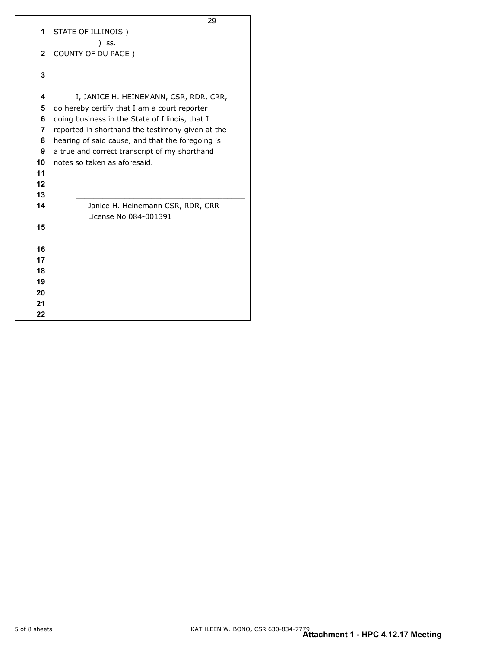|              | 29                                               |
|--------------|--------------------------------------------------|
| 1            | STATE OF ILLINOIS)                               |
|              | ) SS.                                            |
| $\mathbf{2}$ | COUNTY OF DU PAGE)                               |
|              |                                                  |
| 3            |                                                  |
|              |                                                  |
| 4            | I, JANICE H. HEINEMANN, CSR, RDR, CRR,           |
| 5            | do hereby certify that I am a court reporter     |
| 6            | doing business in the State of Illinois, that I  |
| 7            | reported in shorthand the testimony given at the |
| 8            | hearing of said cause, and that the foregoing is |
| 9            | a true and correct transcript of my shorthand    |
| 10           | notes so taken as aforesaid.                     |
| 11           |                                                  |
| $12 \,$      |                                                  |
| 13           |                                                  |
| 14           | Janice H. Heinemann CSR, RDR, CRR                |
|              | License No 084-001391                            |
| 15           |                                                  |
|              |                                                  |
| 16           |                                                  |
| 17           |                                                  |
| 18           |                                                  |
| 19           |                                                  |
| 20           |                                                  |
| 21           |                                                  |
| 22           |                                                  |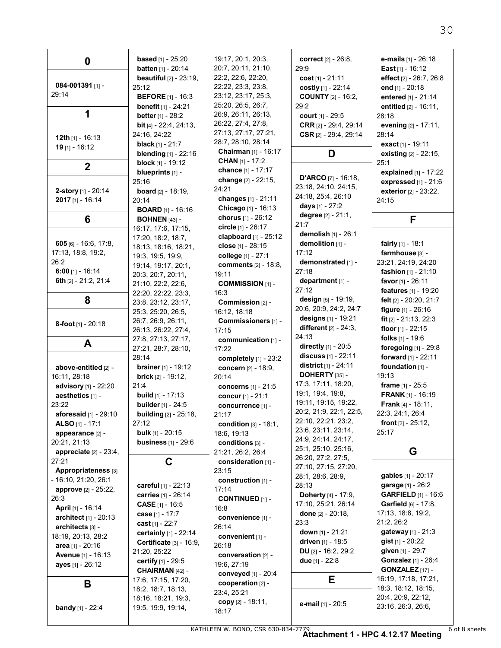| 0                              | <b>based</b> [1] - $25:20$                | 19:17, 20:1, 20:3,                           | correct [2] - 26:8.             | e-mails [1] - 26:18                               |
|--------------------------------|-------------------------------------------|----------------------------------------------|---------------------------------|---------------------------------------------------|
|                                | <b>batten</b> $[1] - 20:14$               | 20:7, 20:11, 21:10,                          | 29:9                            | East $[1] - 16:12$                                |
| 084-001391 $[1]$ -             | <b>beautiful</b> $[2] - 23:19$ ,          | 22.2, 22.6, 22.20,                           | cost $[1] - 21:11$              | effect [2] - 26:7, 26:8                           |
| 29:14                          | 25:12                                     | 22:22, 23:3, 23:8,                           | costly [1] - 22:14              | end [1] - 20:18                                   |
|                                | <b>BEFORE</b> $[1]$ - 16:3                | 23:12, 23:17, 25:3,                          | <b>COUNTY</b> [2] - 16:2,       | entered [1] - 21:14                               |
| 1                              | benefit [1] - 24:21                       | 25:20, 26:5, 26:7,                           | 29:2                            | entitled [2] - 16:11,                             |
|                                | <b>better</b> $[1] - 28:2$                | 26.9, 26.11, 26.13,                          | court $[1] - 29:5$              | 28:18                                             |
|                                | <b>bit</b> [4] - $22:4$ , $24:13$ ,       | 26:22, 27:4, 27:8,                           | CRR [2] - 29:4, 29:14           | evening $[2] - 17:11$ ,                           |
| <b>12th</b> $[1]$ - 16:13      | 24:16, 24:22                              | 27:13, 27:17, 27:21,                         | CSR $[2] - 29:4$ , 29:14        | 28:14                                             |
| $19$ [1] - 16:12               | <b>black</b> $[1] - 21:7$                 | 28:7, 28:10, 28:14                           |                                 | exact [1] - 19:11                                 |
|                                | <b>blending</b> $[1]$ - 22:16             | Chairman [1] - 16:17                         | D                               | existing [2] - 22:15,                             |
| $\mathbf 2$                    | <b>block</b> $[1]$ - 19:12                | <b>CHAN</b> $[1] - 17:2$                     |                                 | 25:1                                              |
|                                | blueprints [1] -                          | <b>chance</b> [1] - 17:17                    | <b>D'ARCO</b> $[7]$ - 16:18,    | explained [1] - 17:22                             |
|                                | 25:16                                     | change [2] - 22:15,<br>24:21                 | 23:18, 24:10, 24:15,            | <b>expressed</b> $[1] - 21:6$                     |
| 2-story [1] - 20:14            | <b>board</b> $[2] - 18.19$ ,              |                                              | 24:18, 25:4, 26:10              | exterior [2] - 23:22,                             |
| $2017$ [1] - 16:14             | 20:14                                     | changes [1] - 21:11                          | days $[1] - 27:2$               | 24:15                                             |
|                                | <b>BOARD</b> [1] - 16:16                  | Chicago [1] - 16:13                          | degree [2] - 21:1,              |                                                   |
| 6                              | <b>BOHNEN [43] -</b>                      | chorus [1] - 26:12                           | 21:7                            | F                                                 |
|                                | 16:17, 17:6, 17:15,                       | circle [1] - 26:17                           | demolish $[1] - 26:1$           |                                                   |
| $605$ [6] - 16.6, 17.8,        | 17:20, 18:2, 18:7,                        | clapboard $[1]$ - 25:12<br>close [1] - 28:15 | demolition [1] -                | fairly $[1]$ - 18:1                               |
| 17:13, 18:8, 19:2,             | 18:13, 18:16, 18:21,                      |                                              | 17:12                           | farmhouse [3] -                                   |
| 26:2                           | 19:3, 19:5, 19:9,                         | college [1] - 27:1<br>comments [2] - 18:8,   | demonstrated [1] -              | 23:21, 24:19, 24:20                               |
| $6:00$ [1] - 16:14             | 19:14, 19:17, 20:1,<br>20:3, 20:7, 20:11, | 19:11                                        | 27:18                           | <b>fashion</b> $[1] - 21:10$                      |
| 6th [2] - 21:2, 21:4           | 21:10, 22:2, 22:6,                        | <b>COMMISSION [1] -</b>                      | department [1] -                | favor $[1] - 26.11$                               |
|                                | 22:20, 22:22, 23:3,                       | 16:3                                         | 27:12                           | features [1] - 19:20                              |
| 8                              | 23.8, 23.12, 23.17,                       | Commission [2] -                             | design $[5]$ - 19:19,           | felt [2] - 20:20, 21:7                            |
|                                | 25:3, 25:20, 26:5,                        | 16:12, 18:18                                 | 20:6, 20:9, 24:2, 24:7          | figure $[1] - 26:16$                              |
|                                | 26:7, 26:9, 26:11,                        | Commissioners [1] -                          | designs [1] - 19:21             | fit $[2] - 21:13$ , 22:3                          |
| 8-foot $[1]$ - 20:18           | 26:13, 26:22, 27:4,                       | 17:15                                        | <b>different</b> $[2] - 24:3$ , | floor $[1] - 22.15$                               |
|                                | 27:8, 27:13, 27:17,                       | communication [1] -                          | 24:13                           | <b>folks</b> $[1] - 19.6$                         |
| A                              | 27:21, 28:7, 28:10,                       | 17:22                                        | directly [1] - 20:5             | foregoing $[1]$ - 29.8                            |
|                                | 28:14                                     | completely $[1]$ - 23:2                      | discuss $[1] - 22:11$           | forward [1] - 22:11                               |
| above-entitled [2] -           | <b>brainer</b> $[1] - 19:12$              | concern [2] - 18:9,                          | district [1] - 24:11            | foundation [1] -                                  |
| 16:11, 28:18                   | <b>brick</b> $[2] - 19:12$                | 20:14                                        | DOHERTY $[35]$ -                | 19:13                                             |
| advisory [1] - 22:20           | 21:4                                      | concerns [1] - 21:5                          | 17:3, 17:11, 18:20,             | <b>frame</b> $[1] - 25:5$                         |
| aesthetics [1] -               | <b>build</b> $[1] - 17:13$                | concur [1] - 21:1                            | 19:1, 19:4, 19:8,               | <b>FRANK</b> [1] - 16:19                          |
| 23:22                          | <b>builder</b> [1] - 24:5                 | concurrence [1] -                            | 19:11, 19:15, 19:22,            | <b>Frank</b> $[4] - 18:11$ ,                      |
| <b>aforesaid</b> $[1]$ - 29:10 | <b>building</b> $[2] - 25:18$ ,           | 21:17                                        | 20:2, 21:9, 22:1, 22:5,         | 22:3, 24:1, 26:4                                  |
| <b>ALSO</b> [1] - 17:1         | 27:12                                     | <b>condition</b> $[3] - 18.1$ ,              | 22:10, 22:21, 23:2,             | front $[2] - 25:12$ ,                             |
| appearance [2] -               | <b>bulk</b> $[1] - 20:15$                 | 18:6, 19:13                                  | 23.6, 23.11, 23.14,             | 25:17                                             |
| 20:21, 21:13                   | <b>business</b> $[1] - 29:6$              | conditions [3] -                             | 24:9, 24:14, 24:17,             |                                                   |
| appreciate $[2] - 23:4$ ,      |                                           | 21:21, 26:2, 26:4                            | 25:1, 25:10, 25:16,             | G                                                 |
| 27:21                          | C                                         | consideration [1] -                          | 26:20, 27:2, 27:5,              |                                                   |
| Appropriateness [3]            |                                           | 23:15                                        | 27:10, 27:15, 27:20,            |                                                   |
| - 16:10, 21:20, 26:1           |                                           | construction [1] -                           | 28:1, 28:6, 28:9,               | gables [1] - 20:17                                |
| approve $[2] - 25:22$          | careful [1] - 22:13                       | 17.14                                        | 28:13                           | garage [1] - 26:2                                 |
| 26:3                           | carries [1] - 26:14                       | <b>CONTINUED [1] -</b>                       | Doherty [4] - 17:9,             | <b>GARFIELD</b> [1] - 16:6                        |
| April [1] - 16:14              | <b>CASE</b> $[1] - 16.5$                  | 16:8                                         | 17:10, 25:21, 26:14             | <b>Garfield</b> [6] - 17:8,<br>17:13, 18:8, 19:2, |
| architect [1] - 20:13          | case [1] - 17:7                           | convenience [1] -                            | done $[2] - 20:18$ ,            |                                                   |
| architects [3] -               | cast $[1] - 22:7$                         | 26:14                                        | 23.3                            | 21:2, 26:2                                        |
| 18:19, 20:13, 28:2             | certainly [1] - 22:14                     | convenient [1] -                             | down $[1] - 21:21$              | gateway [1] - 21:3<br><b>gist</b> $[1]$ - 20:22   |
| area [1] - 20:16               | Certificate [3] - 16:9,                   | 26:18                                        | driven $[1] - 18.5$             |                                                   |
| <b>Avenue</b> [1] - 16:13      | 21:20, 25:22                              | conversation [2] -                           | DU [2] - 16:2, 29:2             | given [1] - 29:7                                  |
| ayes [1] - 26:12               | certify [1] - 29:5                        | 19:6, 27:19                                  | due [1] - 22:8                  | <b>Gonzalez</b> [1] - 26:4                        |
|                                | CHAIRMAN [42] -                           | conveyed [1] - 20:4                          |                                 | <b>GONZALEZ</b> [17] -<br>16:19, 17:18, 17:21,    |
| В                              | 17:6, 17:15, 17:20,                       | cooperation [2] -                            | Е                               | 18:3, 18:12, 18:15,                               |
|                                | 18:2, 18:7, 18:13,                        | 23:4, 25:21                                  |                                 | 20:4, 20:9, 22:12,                                |
|                                | 18:16, 18:21, 19:3,                       | copy [2] - 18:11,                            | e-mail [1] - 20:5               | 23:16, 26:3, 26:6,                                |
| <b>bandy</b> $[1] - 22:4$      | 19.5, 19.9, 19.14,                        | 18:17                                        |                                 |                                                   |

KATHLEEN W. BONO, CSR 630-834-7779 6 of 8 sheets **Attachment 1 - HPC 4.12.17 Meeting**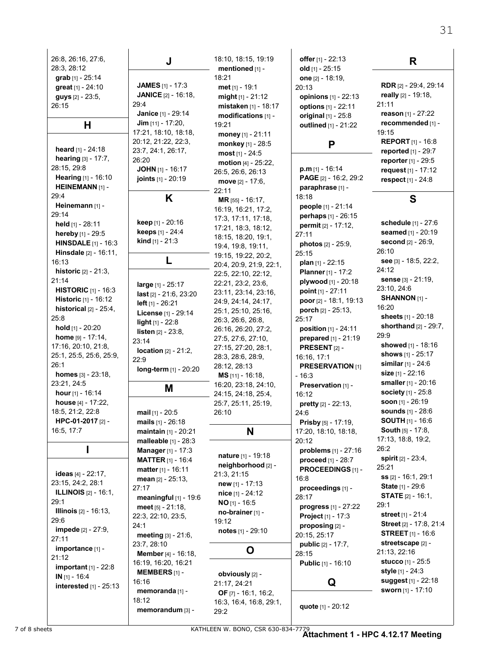| 26:8, 26:16, 27:6,<br>28:3, 28:12<br>grab [1] - 25:14<br>great [1] - 24:10<br>guys [2] - 23:5,<br>26:15<br>н<br><b>heard</b> $[1] - 24:18$<br>hearing [3] - 17:7,<br>28:15, 29:8<br>Hearing [1] - 16:10<br><b>HEINEMANN</b> [1] -                                                                           | J<br><b>JAMES</b> $[1]$ - 17:3<br><b>JANICE</b> [2] - 16:18,<br>29:4<br>Janice [1] - 29:14<br><b>Jim</b> $[11] - 17:20$ ,<br>17:21, 18:10, 18:18,<br>20:12, 21:22, 22:3,<br>23:7, 24:1, 26:17,<br>26:20<br><b>JOHN</b> $[1]$ - 16:17<br>joints [1] - 20:19                                                                     | 18:10, 18:15, 19:19<br>mentioned [1] -<br>18:21<br>met $[1] - 19.1$<br>$might [1] - 21:12$<br><b>mistaken</b> [1] - 18:17<br>modifications [1] -<br>19:21<br>money $[1] - 21:11$<br>monkey [1] - 28:5<br>most $[1] - 24.5$<br>motion [4] - 25:22,<br>26.5, 26.6, 26.13<br>move [2] - 17:6,                             | offer [1] - 22:13<br>old $[1] - 25:15$<br>one [2] - 18:19,<br>20:13<br>opinions [1] - 22:13<br>options [1] - 22:11<br>original [1] - 25:8<br>outlined [1] - 21:22<br>P<br>$p.m$ [1] - 16:14<br>PAGE [2] - 16:2, 29:2                                                                                        | R<br><b>RDR</b> [2] - 29:4, 29:14<br>really [2] - 19:18,<br>21:11<br>reason $[1] - 27:22$<br>recommended [1] -<br>19:15<br><b>REPORT</b> [1] - 16:8<br>reported [1] - 29:7<br>reporter [1] - 29:5<br>request [1] - 17:12<br>respect [1] - 24:8                               |
|-------------------------------------------------------------------------------------------------------------------------------------------------------------------------------------------------------------------------------------------------------------------------------------------------------------|--------------------------------------------------------------------------------------------------------------------------------------------------------------------------------------------------------------------------------------------------------------------------------------------------------------------------------|------------------------------------------------------------------------------------------------------------------------------------------------------------------------------------------------------------------------------------------------------------------------------------------------------------------------|-------------------------------------------------------------------------------------------------------------------------------------------------------------------------------------------------------------------------------------------------------------------------------------------------------------|------------------------------------------------------------------------------------------------------------------------------------------------------------------------------------------------------------------------------------------------------------------------------|
| 29:4<br>Heinemann [1] -<br>29:14<br>held [1] - 28:11<br>hereby [1] - 29:5<br><b>HINSDALE</b> $[1] - 16:3$<br><b>Hinsdale</b> [2] - 16:11,                                                                                                                                                                   | K<br>keep [1] - 20:16<br>keeps [1] - 24:4<br>kind [1] - 21:3                                                                                                                                                                                                                                                                   | 22:11<br>MR [55] - 16:17,<br>16:19, 16:21, 17:2,<br>17:3, 17:11, 17:18,<br>17:21, 18:3, 18:12,<br>18:15, 18:20, 19:1,<br>19.4, 19.8, 19.11,<br>19:15, 19:22, 20:2,                                                                                                                                                     | paraphrase [1] -<br>18:18<br>people [1] - 21:14<br>perhaps [1] - 26:15<br>permit [2] - 17:12,<br>27:11<br><b>photos</b> [2] - 25:9,<br>25:15                                                                                                                                                                | S<br><b>schedule</b> [1] - 27:6<br>seamed [1] - 20:19<br><b>second</b> [2] - 26:9,<br>26:10                                                                                                                                                                                  |
| 16:13<br><b>historic</b> $[2] - 21:3$ ,<br>21:14<br><b>HISTORIC</b> $[1]$ - 16:3<br><b>Historic</b> [1] - 16:12<br>historical $[2] - 25:4$ ,<br>25:8<br>hold $[1]$ - 20:20<br>home $[9] - 17:14$ ,<br>17:16, 20:10, 21:8,<br>25:1, 25:5, 25:6, 25:9,<br>26:1<br><b>homes</b> $[3] - 23:18$ ,<br>23:21, 24:5 | L<br>large [1] - 25:17<br>last [2] - 21:6, 23:20<br><b>left</b> $[1] - 26:21$<br>License [1] - 29:14<br><b>light</b> $[1]$ - 22:8<br><b>listen</b> $[2] - 23:8$ ,<br>23:14<br><b>location</b> $[2] - 21:2$ ,<br>22:9<br>long-term [1] - 20:20<br>Μ                                                                             | 20:4, 20:9, 21:9, 22:1,<br>22:5, 22:10, 22:12,<br>22.21, 23.2, 23.6,<br>23:11, 23:14, 23:16,<br>24:9, 24:14, 24:17,<br>25:1, 25:10, 25:16,<br>26:3, 26:6, 26:8,<br>26:16, 26:20, 27:2,<br>27.5, 27.6, 27.10,<br>27:15, 27:20, 28:1,<br>28:3, 28:6, 28:9,<br>28:12, 28:13<br>$MS$ [11] - 16:18,<br>16:20, 23:18, 24:10, | plan $[1]$ - 22:15<br><b>Planner</b> [1] - 17:2<br>plywood [1] - 20:18<br>point $[1] - 27:11$<br>poor [2] - 18.1, 19:13<br>porch [2] - 25:13,<br>25:17<br>position [1] - 24:11<br>prepared [1] - 21:19<br><b>PRESENT</b> $[2]$ -<br>16:16, 17:1<br><b>PRESERVATION [1]</b><br>$-16.3$<br>Preservation [1] - | see [3] - 18:5, 22:2,<br>24:12<br>sense [3] - 21:19,<br>23:10, 24:6<br>SHANNON [1] -<br>16:20<br>sheets [1] - 20:18<br>shorthand $[2] - 29:7$ ,<br>29.9<br>showed [1] - 18:16<br><b>shows</b> [1] - 25:17<br>similar $[1] - 24.6$<br>size [1] - 22:16<br>smaller [1] - 20:16 |
| hour [1] - 16:14<br>house [4] - 17:22,<br>18:5, 21:2, 22:8<br>HPC-01-2017 [2] -<br>16:5, 17:7                                                                                                                                                                                                               | mail [1] - 20:5<br><b>mails</b> $[1] - 26:18$<br>maintain [1] - 20:21                                                                                                                                                                                                                                                          | 24:15, 24:18, 25:4,<br>25:7, 25:11, 25:19,<br>26:10<br>N                                                                                                                                                                                                                                                               | 16:12<br><b>pretty</b> $[2] - 22:13$ ,<br>24.6<br>Prisby [5] - 17:19,<br>17:20, 18:10, 18:18,                                                                                                                                                                                                               | <b>society</b> [1] - 25:8<br>soon $[1] - 26.19$<br><b>sounds</b> [1] - 28:6<br><b>SOUTH</b> [1] - 16:6<br>South [5] - 17:8,<br>17:13, 18:8, 19:2,                                                                                                                            |
| <b>ideas</b> [4] - 22:17,<br>23:15, 24:2, 28:1<br><b>ILLINOIS</b> $[2] - 16:1$<br>29:1<br><b>Illinois</b> [2] - 16:13,<br>29:6<br><b>impede</b> [2] - 27:9,<br>27:11<br>importance [1] -<br>21:12                                                                                                           | malleable [1] - 28:3<br><b>Manager</b> [1] - 17:3<br><b>MATTER</b> $[1] - 16.4$<br><b>matter</b> $[1] - 16:11$<br>mean $[2] - 25:13$ .<br>27:17<br>meaningful [1] - 19:6<br>$meet$ [5] $- 21:18$ .<br>22:3, 22:10, 23:5,<br>24.1<br><b>meeting</b> $[3] - 21.6$ ,<br>23:7, 28:10<br>Member [4] - 16:18,<br>16:19, 16:20, 16:21 | nature [1] - 19:18<br>neighborhood [2] -<br>21:3, 21:15<br>new $[1] - 17.13$<br>nice $[1] - 24:12$<br>$NO$ [1] - 16:5<br>no-brainer [1] -<br>19:12<br>notes [1] - 29:10<br>O                                                                                                                                           | 20:12<br>problems $[1] - 27:16$<br>proceed [1] - 28:7<br>PROCEEDINGS [1] -<br>16:8<br>proceedings [1] -<br>28:17<br>progress [1] - 27:22<br>Project [1] - 17:3<br>proposing [2] -<br>20:15, 25:17<br><b>public</b> [2] - 17:7,<br>28:15<br><b>Public</b> [1] - 16:10                                        | 26:2<br>spirit $[2] - 23:4$<br>25:21<br><b>ss</b> [2] - 16:1, 29:1<br>State [1] - 29:6<br><b>STATE</b> $[2] - 16.1$ ,<br>29:1<br>street [1] - 21:4<br>Street [2] - 17:8, 21:4<br><b>STREET</b> $[1] - 16.6$<br>streetscape [2] -<br>21:13, 22:16<br><b>stucco</b> [1] - 25:5 |
| important $[1]$ - 22:8<br>$IN$ [1] - 16:4<br>interested [1] - 25:13                                                                                                                                                                                                                                         | <b>MEMBERS</b> $[1]$ -<br>16:16<br>memoranda [1] -<br>18:12<br>memorandum [3] -                                                                                                                                                                                                                                                | obviously [2] -<br>21:17, 24:21<br><b>OF</b> $[7]$ - 16:1, 16:2,<br>16:3, 16:4, 16:8, 29:1,<br>29:2                                                                                                                                                                                                                    | Q<br>quote [1] - 20:12                                                                                                                                                                                                                                                                                      | <b>style</b> [1] - 24:3<br>suggest [1] - 22:18<br>sworn [1] - 17:10                                                                                                                                                                                                          |